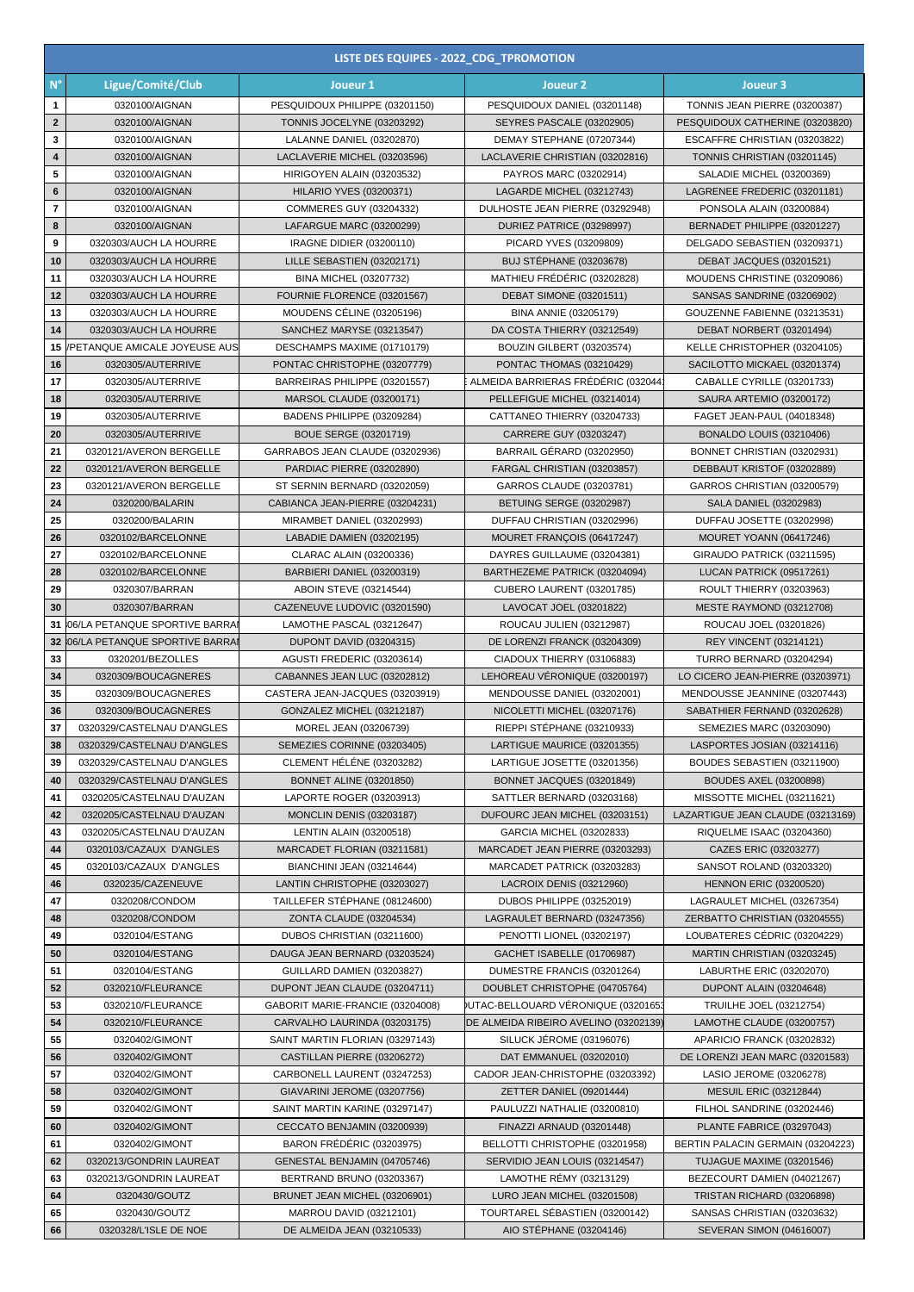|                         | LISTE DES EQUIPES - 2022_CDG_TPROMOTION |                                  |                                      |                                   |  |  |
|-------------------------|-----------------------------------------|----------------------------------|--------------------------------------|-----------------------------------|--|--|
| $N^{\circ}$             | Ligue/Comité/Club                       | Joueur 1                         | Joueur <sub>2</sub>                  | Joueur 3                          |  |  |
| 1                       | 0320100/AIGNAN                          | PESQUIDOUX PHILIPPE (03201150)   | PESQUIDOUX DANIEL (03201148)         | TONNIS JEAN PIERRE (03200387)     |  |  |
| $\mathbf{2}$            | 0320100/AIGNAN                          | TONNIS JOCELYNE (03203292)       | SEYRES PASCALE (03202905)            | PESQUIDOUX CATHERINE (03203820)   |  |  |
| 3                       | 0320100/AIGNAN                          | LALANNE DANIEL (03202870)        | DEMAY STEPHANE (07207344)            | ESCAFFRE CHRISTIAN (03203822)     |  |  |
| $\overline{\mathbf{4}}$ | 0320100/AIGNAN                          | LACLAVERIE MICHEL (03203596)     | LACLAVERIE CHRISTIAN (03202816)      | TONNIS CHRISTIAN (03201145)       |  |  |
| 5                       | 0320100/AIGNAN                          | HIRIGOYEN ALAIN (03203532)       | PAYROS MARC (03202914)               | SALADIE MICHEL (03200369)         |  |  |
| 6                       | 0320100/AIGNAN                          | <b>HILARIO YVES (03200371)</b>   | LAGARDE MICHEL (03212743)            | LAGRENEE FREDERIC (03201181)      |  |  |
| $\overline{\mathbf{r}}$ | 0320100/AIGNAN                          | COMMERES GUY (03204332)          | DULHOSTE JEAN PIERRE (03292948)      | PONSOLA ALAIN (03200884)          |  |  |
| 8                       | 0320100/AIGNAN                          | LAFARGUE MARC (03200299)         | DURIEZ PATRICE (03298997)            | BERNADET PHILIPPE (03201227)      |  |  |
| 9                       | 0320303/AUCH LA HOURRE                  | IRAGNE DIDIER (03200110)         | PICARD YVES (03209809)               | DELGADO SEBASTIEN (03209371)      |  |  |
| 10                      | 0320303/AUCH LA HOURRE                  | LILLE SEBASTIEN (03202171)       | <b>BUJ STÉPHANE (03203678)</b>       | DEBAT JACQUES (03201521)          |  |  |
| 11                      | 0320303/AUCH LA HOURRE                  | BINA MICHEL (03207732)           | MATHIEU FRÉDÉRIC (03202828)          | MOUDENS CHRISTINE (03209086)      |  |  |
| 12                      | 0320303/AUCH LA HOURRE                  | FOURNIE FLORENCE (03201567)      | <b>DEBAT SIMONE (03201511)</b>       | SANSAS SANDRINE (03206902)        |  |  |
| 13                      | 0320303/AUCH LA HOURRE                  | MOUDENS CÉLINE (03205196)        | BINA ANNIE (03205179)                | GOUZENNE FABIENNE (03213531)      |  |  |
| 14                      | 0320303/AUCH LA HOURRE                  | SANCHEZ MARYSE (03213547)        | DA COSTA THIERRY (03212549)          | DEBAT NORBERT (03201494)          |  |  |
| 15                      | PETANQUE AMICALE JOYEUSE AUS            | DESCHAMPS MAXIME (01710179)      | BOUZIN GILBERT (03203574)            | KELLE CHRISTOPHER (03204105)      |  |  |
| 16                      | 0320305/AUTERRIVE                       | PONTAC CHRISTOPHE (03207779)     | PONTAC THOMAS (03210429)             | SACILOTTO MICKAEL (03201374)      |  |  |
| 17                      | 0320305/AUTERRIVE                       | BARREIRAS PHILIPPE (03201557)    | ALMEIDA BARRIERAS FRÉDÉRIC (032044   | CABALLE CYRILLE (03201733)        |  |  |
| 18                      | 0320305/AUTERRIVE                       | MARSOL CLAUDE (03200171)         | PELLEFIGUE MICHEL (03214014)         | SAURA ARTEMIO (03200172)          |  |  |
| 19                      | 0320305/AUTERRIVE                       | BADENS PHILIPPE (03209284)       | CATTANEO THIERRY (03204733)          | FAGET JEAN-PAUL (04018348)        |  |  |
| 20                      | 0320305/AUTERRIVE                       | BOUE SERGE (03201719)            | CARRERE GUY (03203247)               | <b>BONALDO LOUIS (03210406)</b>   |  |  |
| 21                      | 0320121/AVERON BERGELLE                 | GARRABOS JEAN CLAUDE (03202936)  | BARRAIL GÉRARD (03202950)            | BONNET CHRISTIAN (03202931)       |  |  |
| 22                      | 0320121/AVERON BERGELLE                 | PARDIAC PIERRE (03202890)        | FARGAL CHRISTIAN (03203857)          | DEBBAUT KRISTOF (03202889)        |  |  |
| 23                      | 0320121/AVERON BERGELLE                 | ST SERNIN BERNARD (03202059)     | GARROS CLAUDE (03203781)             | GARROS CHRISTIAN (03200579)       |  |  |
| 24                      | 0320200/BALARIN                         | CABIANCA JEAN-PIERRE (03204231)  | <b>BETUING SERGE (03202987)</b>      | SALA DANIEL (03202983)            |  |  |
| 25                      | 0320200/BALARIN                         | MIRAMBET DANIEL (03202993)       | DUFFAU CHRISTIAN (03202996)          | DUFFAU JOSETTE (03202998)         |  |  |
| 26                      | 0320102/BARCELONNE                      | LABADIE DAMIEN (03202195)        | MOURET FRANÇOIS (06417247)           | MOURET YOANN (06417246)           |  |  |
| 27                      | 0320102/BARCELONNE                      | CLARAC ALAIN (03200336)          | DAYRES GUILLAUME (03204381)          | GIRAUDO PATRICK (03211595)        |  |  |
| 28                      | 0320102/BARCELONNE                      | BARBIERI DANIEL (03200319)       | BARTHEZEME PATRICK (03204094)        | LUCAN PATRICK (09517261)          |  |  |
| 29                      | 0320307/BARRAN                          | ABOIN STEVE (03214544)           | CUBERO LAURENT (03201785)            | ROULT THIERRY (03203963)          |  |  |
| 30                      | 0320307/BARRAN                          | CAZENEUVE LUDOVIC (03201590)     | LAVOCAT JOEL (03201822)              | MESTE RAYMOND (03212708)          |  |  |
| 31                      | 06/LA PETANQUE SPORTIVE BARRA           | LAMOTHE PASCAL (03212647)        | ROUCAU JULIEN (03212987)             | ROUCAU JOEL (03201826)            |  |  |
| 32                      | 06/LA PETANQUE SPORTIVE BARRA           | DUPONT DAVID (03204315)          | DE LORENZI FRANCK (03204309)         | <b>REY VINCENT (03214121)</b>     |  |  |
| 33                      | 0320201/BEZOLLES                        | AGUSTI FREDERIC (03203614)       | CIADOUX THIERRY (03106883)           | TURRO BERNARD (03204294)          |  |  |
| 34                      | 0320309/BOUCAGNERES                     | CABANNES JEAN LUC (03202812)     | LEHOREAU VÉRONIQUE (03200197)        | LO CICERO JEAN-PIERRE (03203971)  |  |  |
| 35                      | 0320309/BOUCAGNERES                     | CASTERA JEAN-JACQUES (03203919)  | MENDOUSSE DANIEL (03202001)          | MENDOUSSE JEANNINE (03207443)     |  |  |
| 36                      | 0320309/BOUCAGNERES                     | GONZALEZ MICHEL (03212187)       | NICOLETTI MICHEL (03207176)          | SABATHIER FERNAND (03202628)      |  |  |
| 37                      | 0320329/CASTELNAU D'ANGLES              | MOREL JEAN (03206739)            | RIEPPI STÉPHANE (03210933)           | SEMEZIES MARC (03203090)          |  |  |
| 38                      | 0320329/CASTELNAU D'ANGLES              | SEMEZIES CORINNE (03203405)      | LARTIGUE MAURICE (03201355)          | LASPORTES JOSIAN (03214116)       |  |  |
| 39                      | 0320329/CASTELNAU D'ANGLES              | CLEMENT HÉLÉNE (03203282)        | LARTIGUE JOSETTE (03201356)          | BOUDES SEBASTIEN (03211900)       |  |  |
| 40                      | 0320329/CASTELNAU D'ANGLES              | <b>BONNET ALINE (03201850)</b>   | BONNET JACQUES (03201849)            | <b>BOUDES AXEL (03200898)</b>     |  |  |
| 41                      | 0320205/CASTELNAU D'AUZAN               | LAPORTE ROGER (03203913)         | SATTLER BERNARD (03203168)           | MISSOTTE MICHEL (03211621)        |  |  |
| 42                      | 0320205/CASTELNAU D'AUZAN               | <b>MONCLIN DENIS (03203187)</b>  | DUFOURC JEAN MICHEL (03203151)       | LAZARTIGUE JEAN CLAUDE (03213169) |  |  |
| 43                      | 0320205/CASTELNAU D'AUZAN               | LENTIN ALAIN (03200518)          | GARCIA MICHEL (03202833)             | RIQUELME ISAAC (03204360)         |  |  |
| 44                      | 0320103/CAZAUX D'ANGLES                 | MARCADET FLORIAN (03211581)      | MARCADET JEAN PIERRE (03203293)      | CAZES ERIC (03203277)             |  |  |
| 45                      | 0320103/CAZAUX D'ANGLES                 | BIANCHINI JEAN (03214644)        | MARCADET PATRICK (03203283)          | SANSOT ROLAND (03203320)          |  |  |
| 46                      | 0320235/CAZENEUVE                       | LANTIN CHRISTOPHE (03203027)     | LACROIX DENIS (03212960)             | <b>HENNON ERIC (03200520)</b>     |  |  |
| 47                      | 0320208/CONDOM                          | TAILLEFER STÉPHANE (08124600)    | DUBOS PHILIPPE (03252019)            | LAGRAULET MICHEL (03267354)       |  |  |
| 48                      | 0320208/CONDOM                          | ZONTA CLAUDE (03204534)          | LAGRAULET BERNARD (03247356)         | ZERBATTO CHRISTIAN (03204555)     |  |  |
| 49                      | 0320104/ESTANG                          | DUBOS CHRISTIAN (03211600)       | PENOTTI LIONEL (03202197)            | LOUBATERES CÉDRIC (03204229)      |  |  |
| 50                      | 0320104/ESTANG                          | DAUGA JEAN BERNARD (03203524)    | GACHET ISABELLE (01706987)           | MARTIN CHRISTIAN (03203245)       |  |  |
| 51                      | 0320104/ESTANG                          | GUILLARD DAMIEN (03203827)       | DUMESTRE FRANCIS (03201264)          | LABURTHE ERIC (03202070)          |  |  |
| 52                      | 0320210/FLEURANCE                       | DUPONT JEAN CLAUDE (03204711)    | DOUBLET CHRISTOPHE (04705764)        | DUPONT ALAIN (03204648)           |  |  |
| 53                      | 0320210/FLEURANCE                       | GABORIT MARIE-FRANCIE (03204008) | )UTAC-BELLOUARD VÉRONIQUE (03201653  | TRUILHE JOEL (03212754)           |  |  |
| 54                      | 0320210/FLEURANCE                       | CARVALHO LAURINDA (03203175)     | DE ALMEIDA RIBEIRO AVELINO (03202139 | LAMOTHE CLAUDE (03200757)         |  |  |
| 55                      | 0320402/GIMONT                          | SAINT MARTIN FLORIAN (03297143)  | SILUCK JÉROME (03196076)             | APARICIO FRANCK (03202832)        |  |  |
| 56                      | 0320402/GIMONT                          | CASTILLAN PIERRE (03206272)      | DAT EMMANUEL (03202010)              | DE LORENZI JEAN MARC (03201583)   |  |  |
| 57                      | 0320402/GIMONT                          | CARBONELL LAURENT (03247253)     | CADOR JEAN-CHRISTOPHE (03203392)     | LASIO JEROME (03206278)           |  |  |
| 58                      | 0320402/GIMONT                          | GIAVARINI JEROME (03207756)      | ZETTER DANIEL (09201444)             | <b>MESUIL ERIC (03212844)</b>     |  |  |
| 59                      | 0320402/GIMONT                          | SAINT MARTIN KARINE (03297147)   | PAULUZZI NATHALIE (03200810)         | FILHOL SANDRINE (03202446)        |  |  |
| 60                      | 0320402/GIMONT                          | CECCATO BENJAMIN (03200939)      | FINAZZI ARNAUD (03201448)            | PLANTE FABRICE (03297043)         |  |  |
| 61                      | 0320402/GIMONT                          | BARON FRÉDÉRIC (03203975)        | BELLOTTI CHRISTOPHE (03201958)       | BERTIN PALACIN GERMAIN (03204223) |  |  |
| 62                      | 0320213/GONDRIN LAUREAT                 | GENESTAL BENJAMIN (04705746)     | SERVIDIO JEAN LOUIS (03214547)       | TUJAGUE MAXIME (03201546)         |  |  |
| 63                      | 0320213/GONDRIN LAUREAT                 | BERTRAND BRUNO (03203367)        | LAMOTHE RÉMY (03213129)              | BEZECOURT DAMIEN (04021267)       |  |  |
| 64                      | 0320430/GOUTZ                           | BRUNET JEAN MICHEL (03206901)    | LURO JEAN MICHEL (03201508)          | TRISTAN RICHARD (03206898)        |  |  |
| 65                      | 0320430/GOUTZ                           | MARROU DAVID (03212101)          | TOURTAREL SÉBASTIEN (03200142)       | SANSAS CHRISTIAN (03203632)       |  |  |
| 66                      | 0320328/L'ISLE DE NOE                   | DE ALMEIDA JEAN (03210533)       | AIO STÉPHANE (03204146)              | SEVERAN SIMON (04616007)          |  |  |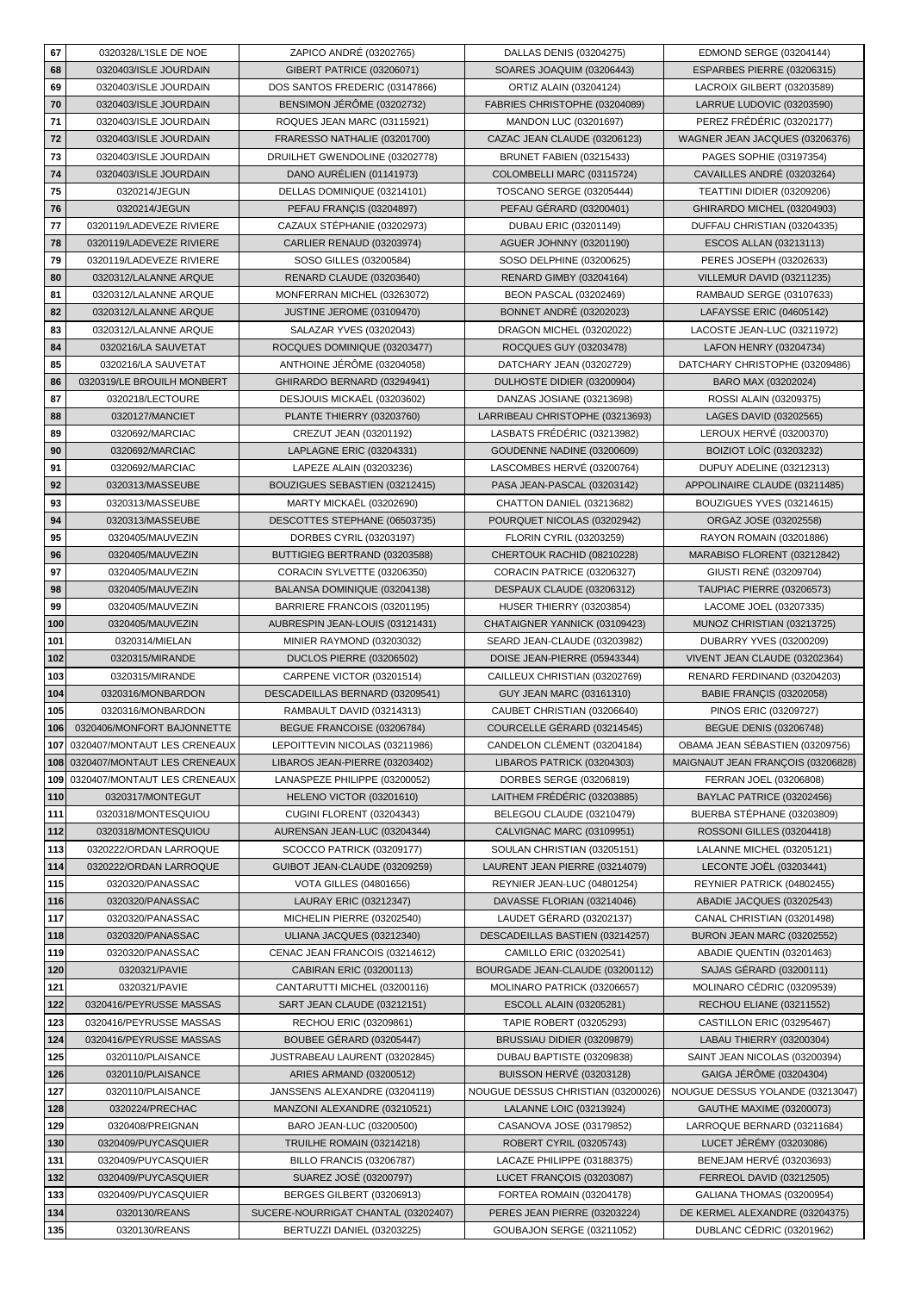| 67  | 0320328/L'ISLE DE NOE        | ZAPICO ANDRÉ (03202765)             | DALLAS DENIS (03204275)            | EDMOND SERGE (03204144)           |
|-----|------------------------------|-------------------------------------|------------------------------------|-----------------------------------|
| 68  | 0320403/ISLE JOURDAIN        | GIBERT PATRICE (03206071)           | SOARES JOAQUIM (03206443)          | ESPARBES PIERRE (03206315)        |
| 69  | 0320403/ISLE JOURDAIN        | DOS SANTOS FREDERIC (03147866)      | ORTIZ ALAIN (03204124)             | LACROIX GILBERT (03203589)        |
| 70  | 0320403/ISLE JOURDAIN        | BENSIMON JERÖME (03202732)          | FABRIES CHRISTOPHE (03204089)      | LARRUE LUDOVIC (03203590)         |
| 71  | 0320403/ISLE JOURDAIN        | ROQUES JEAN MARC (03115921)         | MANDON LUC (03201697)              | PEREZ FRÉDÉRIC (03202177)         |
|     | 0320403/ISLE JOURDAIN        |                                     |                                    |                                   |
| 72  |                              | FRARESSO NATHALIE (03201700)        | CAZAC JEAN CLAUDE (03206123)       | WAGNER JEAN JACQUES (03206376)    |
| 73  | 0320403/ISLE JOURDAIN        | DRUILHET GWENDOLINE (03202778)      | BRUNET FABIEN (03215433)           | PAGES SOPHIE (03197354)           |
| 74  | 0320403/ISLE JOURDAIN        | DANO AURÉLIEN (01141973)            | COLOMBELLI MARC (03115724)         | CAVAILLES ANDRÉ (03203264)        |
| 75  | 0320214/JEGUN                | DELLAS DOMINIQUE (03214101)         | <b>TOSCANO SERGE (03205444)</b>    | TEATTINI DIDIER (03209206)        |
| 76  | 0320214/JEGUN                | PEFAU FRANÇIS (03204897)            | PEFAU GÉRARD (03200401)            | GHIRARDO MICHEL (03204903)        |
| 77  | 0320119/LADEVEZE RIVIERE     | CAZAUX STÉPHANIE (03202973)         | DUBAU ERIC (03201149)              | DUFFAU CHRISTIAN (03204335)       |
| 78  | 0320119/LADEVEZE RIVIERE     | <b>CARLIER RENAUD (03203974)</b>    | AGUER JOHNNY (03201190)            | ESCOS ALLAN (03213113)            |
| 79  | 0320119/LADEVEZE RIVIERE     | SOSO GILLES (03200584)              | SOSO DELPHINE (03200625)           | PERES JOSEPH (03202633)           |
| 80  | 0320312/LALANNE ARQUE        |                                     |                                    |                                   |
|     |                              | RENARD CLAUDE (03203640)            | <b>RENARD GIMBY (03204164)</b>     | VILLEMUR DAVID (03211235)         |
| 81  | 0320312/LALANNE ARQUE        | MONFERRAN MICHEL (03263072)         | <b>BEON PASCAL (03202469)</b>      | RAMBAUD SERGE (03107633)          |
| 82  | 0320312/LALANNE ARQUE        | JUSTINE JEROME (03109470)           | <b>BONNET ANDRÉ (03202023)</b>     | LAFAYSSE ERIC (04605142)          |
| 83  | 0320312/LALANNE ARQUE        | SALAZAR YVES (03202043)             | DRAGON MICHEL (03202022)           | LACOSTE JEAN-LUC (03211972)       |
| 84  | 0320216/LA SAUVETAT          | ROCQUES DOMINIQUE (03203477)        | ROCQUES GUY (03203478)             | LAFON HENRY (03204734)            |
| 85  | 0320216/LA SAUVETAT          | ANTHOINE JÉRÔME (03204058)          | DATCHARY JEAN (03202729)           | DATCHARY CHRISTOPHE (03209486)    |
| 86  | 0320319/LE BROUILH MONBERT   | GHIRARDO BERNARD (03294941)         | DULHOSTE DIDIER (03200904)         | BARO MAX (03202024)               |
| 87  | 0320218/LECTOURE             | DESJOUIS MICKAËL (03203602)         | DANZAS JOSIANE (03213698)          | ROSSI ALAIN (03209375)            |
| 88  | 0320127/MANCIET              | PLANTE THIERRY (03203760)           | LARRIBEAU CHRISTOPHE (03213693)    | LAGES DAVID (03202565)            |
|     |                              |                                     |                                    |                                   |
| 89  | 0320692/MARCIAC              | CREZUT JEAN (03201192)              | LASBATS FRÉDÉRIC (03213982)        | LEROUX HERVÉ (03200370)           |
| 90  | 0320692/MARCIAC              | LAPLAGNE ERIC (03204331)            | GOUDENNE NADINE (03200609)         | BOIZIOT LOIC (03203232)           |
| 91  | 0320692/MARCIAC              | LAPEZE ALAIN (03203236)             | LASCOMBES HERVÉ (03200764)         | DUPUY ADELINE (03212313)          |
| 92  | 0320313/MASSEUBE             | BOUZIGUES SEBASTIEN (03212415)      | PASA JEAN-PASCAL (03203142)        | APPOLINAIRE CLAUDE (03211485)     |
| 93  | 0320313/MASSEUBE             | MARTY MICKAËL (03202690)            | CHATTON DANIEL (03213682)          | BOUZIGUES YVES (03214615)         |
| 94  | 0320313/MASSEUBE             | DESCOTTES STEPHANE (06503735)       | POURQUET NICOLAS (03202942)        | ORGAZ JOSE (03202558)             |
| 95  | 0320405/MAUVEZIN             | DORBES CYRIL (03203197)             | FLORIN CYRIL (03203259)            | RAYON ROMAIN (03201886)           |
| 96  | 0320405/MAUVEZIN             | BUTTIGIEG BERTRAND (03203588)       | CHERTOUK RACHID (08210228)         | MARABISO FLORENT (03212842)       |
|     |                              |                                     |                                    |                                   |
| 97  | 0320405/MAUVEZIN             | CORACIN SYLVETTE (03206350)         | CORACIN PATRICE (03206327)         | GIUSTI RENÉ (03209704)            |
| 98  | 0320405/MAUVEZIN             | BALANSA DOMINIQUE (03204138)        | DESPAUX CLAUDE (03206312)          | <b>TAUPIAC PIERRE (03206573)</b>  |
| 99  | 0320405/MAUVEZIN             | BARRIERE FRANCOIS (03201195)        | <b>HUSER THIERRY (03203854)</b>    | LACOME JOEL (03207335)            |
| 100 | 0320405/MAUVEZIN             | AUBRESPIN JEAN-LOUIS (03121431)     | CHATAIGNER YANNICK (03109423)      | MUNOZ CHRISTIAN (03213725)        |
| 101 | 0320314/MIELAN               | MINIER RAYMOND (03203032)           | SEARD JEAN-CLAUDE (03203982)       | DUBARRY YVES (03200209)           |
| 102 | 0320315/MIRANDE              | DUCLOS PIERRE (03206502)            | DOISE JEAN-PIERRE (05943344)       | VIVENT JEAN CLAUDE (03202364)     |
| 103 | 0320315/MIRANDE              | CARPENE VICTOR (03201514)           | CAILLEUX CHRISTIAN (03202769)      | RENARD FERDINAND (03204203)       |
| 104 | 0320316/MONBARDON            | DESCADEILLAS BERNARD (03209541)     | GUY JEAN MARC (03161310)           | <b>BABIE FRANÇIS (03202058)</b>   |
| 105 | 0320316/MONBARDON            | RAMBAULT DAVID (03214313)           | CAUBET CHRISTIAN (03206640)        | PINOS ERIC (03209727)             |
| 106 | 0320406/MONFORT BAJONNETTE   | BEGUE FRANCOISE (03206784)          | COURCELLE GÉRARD (03214545)        | <b>BEGUE DENIS (03206748)</b>     |
|     |                              |                                     |                                    |                                   |
| 107 | 0320407/MONTAUT LES CRENEAUX | LEPOITTEVIN NICOLAS (03211986)      | CANDELON CLÉMENT (03204184)        | OBAMA JEAN SÉBASTIEN (03209756)   |
| 108 | 0320407/MONTAUT LES CRENEAUX | LIBAROS JEAN-PIERRE (03203402)      | LIBAROS PATRICK (03204303)         | MAIGNAUT JEAN FRANCOIS (03206828) |
| 109 | 0320407/MONTAUT LES CRENEAUX | LANASPEZE PHILIPPE (03200052)       | DORBES SERGE (03206819)            | FERRAN JOEL (03206808)            |
| 110 | 0320317/MONTEGUT             | HELENO VICTOR (03201610)            | LAITHEM FRÉDÉRIC (03203885)        | BAYLAC PATRICE (03202456)         |
| 111 | 0320318/MONTESQUIOU          | <b>CUGINI FLORENT (03204343)</b>    | BELEGOU CLAUDE (03210479)          | BUERBA STÉPHANE (03203809)        |
| 112 | 0320318/MONTESQUIOU          | AURENSAN JEAN-LUC (03204344)        | CALVIGNAC MARC (03109951)          | ROSSONI GILLES (03204418)         |
| 113 | 0320222/ORDAN LARROQUE       | SCOCCO PATRICK (03209177)           | SOULAN CHRISTIAN (03205151)        | LALANNE MICHEL (03205121)         |
| 114 | 0320222/ORDAN LARROQUE       | GUIBOT JEAN-CLAUDE (03209259)       | LAURENT JEAN PIERRE (03214079)     | <b>LECONTE JOËL (03203441)</b>    |
| 115 | 0320320/PANASSAC             | <b>VOTA GILLES (04801656)</b>       | REYNIER JEAN-LUC (04801254)        | REYNIER PATRICK (04802455)        |
| 116 | 0320320/PANASSAC             | LAURAY ERIC (03212347)              | DAVASSE FLORIAN (03214046)         | ABADIE JACQUES (03202543)         |
| 117 | 0320320/PANASSAC             | MICHELIN PIERRE (03202540)          | LAUDET GÉRARD (03202137)           | CANAL CHRISTIAN (03201498)        |
|     |                              |                                     |                                    |                                   |
| 118 | 0320320/PANASSAC             | ULIANA JACQUES (03212340)           | DESCADEILLAS BASTIEN (03214257)    | <b>BURON JEAN MARC (03202552)</b> |
| 119 | 0320320/PANASSAC             | CENAC JEAN FRANCOIS (03214612)      | CAMILLO ERIC (03202541)            | ABADIE QUENTIN (03201463)         |
| 120 | 0320321/PAVIE                | CABIRAN ERIC (03200113)             | BOURGADE JEAN-CLAUDE (03200112)    | SAJAS GÉRARD (03200111)           |
| 121 | 0320321/PAVIE                | CANTARUTTI MICHEL (03200116)        | MOLINARO PATRICK (03206657)        | MOLINARO CÉDRIC (03209539)        |
| 122 | 0320416/PEYRUSSE MASSAS      | SART JEAN CLAUDE (03212151)         | ESCOLL ALAIN (03205281)            | RECHOU ELIANE (03211552)          |
| 123 | 0320416/PEYRUSSE MASSAS      | RECHOU ERIC (03209861)              | TAPIE ROBERT (03205293)            | CASTILLON ERIC (03295467)         |
| 124 | 0320416/PEYRUSSE MASSAS      | BOUBEE GÉRARD (03205447)            | BRUSSIAU DIDIER (03209879)         | LABAU THIERRY (03200304)          |
| 125 | 0320110/PLAISANCE            | JUSTRABEAU LAURENT (03202845)       | DUBAU BAPTISTE (03209838)          | SAINT JEAN NICOLAS (03200394)     |
| 126 | 0320110/PLAISANCE            | ARIES ARMAND (03200512)             | BUISSON HERVÉ (03203128)           | GAIGA JÉRÔME (03204304)           |
|     |                              |                                     |                                    |                                   |
| 127 | 0320110/PLAISANCE            | JANSSENS ALEXANDRE (03204119)       | NOUGUE DESSUS CHRISTIAN (03200026) | NOUGUE DESSUS YOLANDE (03213047)  |
| 128 | 0320224/PRECHAC              | MANZONI ALEXANDRE (03210521)        | LALANNE LOIC (03213924)            | GAUTHE MAXIME (03200073)          |
| 129 | 0320408/PREIGNAN             | BARO JEAN-LUC (03200500)            | CASANOVA JOSE (03179852)           | LARROQUE BERNARD (03211684)       |
| 130 | 0320409/PUYCASQUIER          | TRUILHE ROMAIN (03214218)           | ROBERT CYRIL (03205743)            | LUCET JÉRÉMY (03203086)           |
| 131 | 0320409/PUYCASQUIER          | <b>BILLO FRANCIS (03206787)</b>     | LACAZE PHILIPPE (03188375)         | BENEJAM HERVÉ (03203693)          |
| 132 | 0320409/PUYCASQUIER          | SUAREZ JOSÉ (03200797)              | LUCET FRANÇOIS (03203087)          | <b>FERREOL DAVID (03212505)</b>   |
| 133 | 0320409/PUYCASQUIER          | BERGES GILBERT (03206913)           | FORTEA ROMAIN (03204178)           | GALIANA THOMAS (03200954)         |
| 134 | 0320130/REANS                | SUCERE-NOURRIGAT CHANTAL (03202407) | PERES JEAN PIERRE (03203224)       | DE KERMEL ALEXANDRE (03204375)    |
|     | 0320130/REANS                | BERTUZZI DANIEL (03203225)          | GOUBAJON SERGE (03211052)          | DUBLANC CÉDRIC (03201962)         |
| 135 |                              |                                     |                                    |                                   |